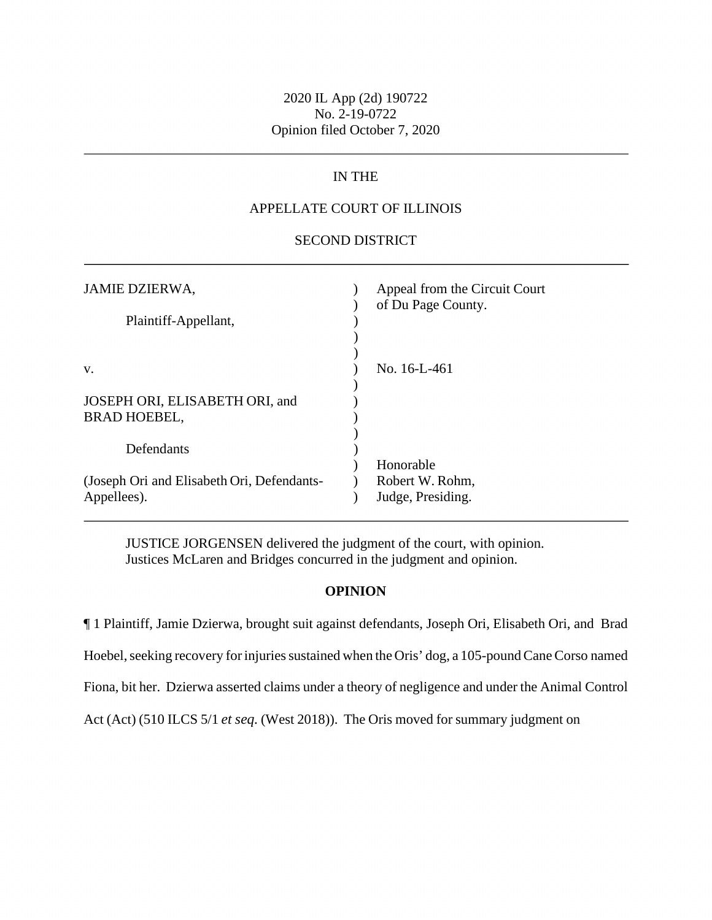# 2020 IL App (2d) 190722 No. 2-19-0722 Opinion filed October 7, 2020

# IN THE

### APPELLATE COURT OF ILLINOIS

#### SECOND DISTRICT

| <b>JAMIE DZIERWA,</b><br>Plaintiff-Appellant,             | Appeal from the Circuit Court<br>of Du Page County. |
|-----------------------------------------------------------|-----------------------------------------------------|
| V.                                                        | No. 16-L-461                                        |
| JOSEPH ORI, ELISABETH ORI, and<br><b>BRAD HOEBEL,</b>     |                                                     |
| Defendants                                                |                                                     |
| (Joseph Ori and Elisabeth Ori, Defendants-<br>Appellees). | Honorable<br>Robert W. Rohm,<br>Judge, Presiding.   |

JUSTICE JORGENSEN delivered the judgment of the court, with opinion. Justices McLaren and Bridges concurred in the judgment and opinion.

### **OPINION**

 Hoebel, seeking recovery for injuries sustained when the Oris' dog, a 105-pound Cane Corso named Fiona, bit her. Dzierwa asserted claims under a theory of negligence and under the Animal Control Act (Act) (510 ILCS 5/1 *et seq.* (West 2018)). The Oris moved for summary judgment on ¶ 1 Plaintiff, Jamie Dzierwa, brought suit against defendants, Joseph Ori, Elisabeth Ori, and Brad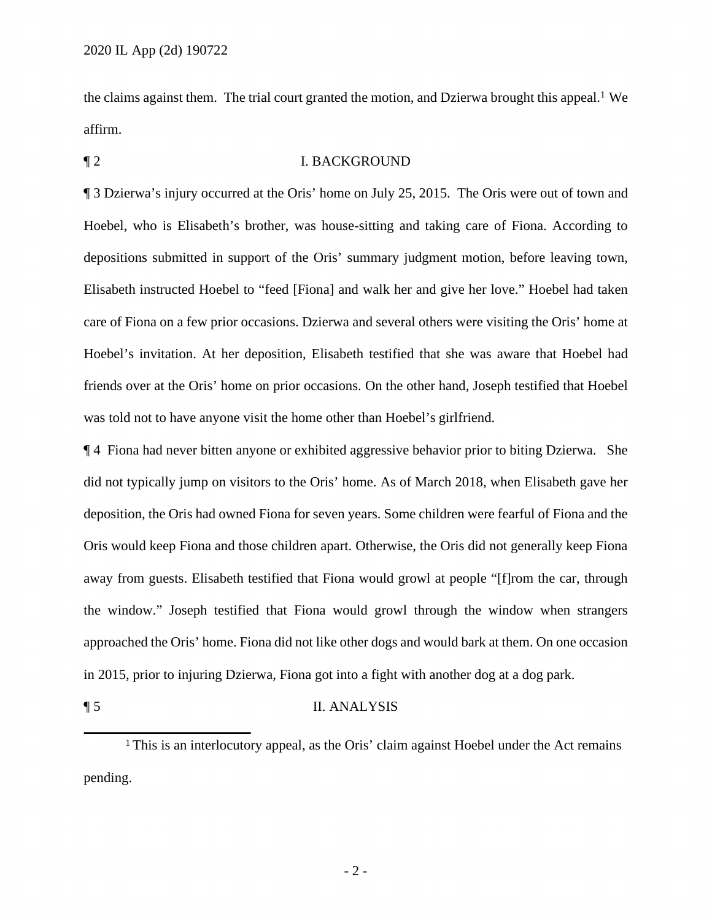the claims against them. The trial court granted the motion, and Dzierwa brought this appeal.<sup>1</sup> We affirm.

## ¶ 2 I. BACKGROUND

 Elisabeth instructed Hoebel to "feed [Fiona] and walk her and give her love." Hoebel had taken care of Fiona on a few prior occasions. Dzierwa and several others were visiting the Oris' home at was told not to have anyone visit the home other than Hoebel's girlfriend. ¶ 3 Dzierwa's injury occurred at the Oris' home on July 25, 2015. The Oris were out of town and Hoebel, who is Elisabeth's brother, was house-sitting and taking care of Fiona. According to depositions submitted in support of the Oris' summary judgment motion, before leaving town, Hoebel's invitation. At her deposition, Elisabeth testified that she was aware that Hoebel had friends over at the Oris' home on prior occasions. On the other hand, Joseph testified that Hoebel

¶ 4 Fiona had never bitten anyone or exhibited aggressive behavior prior to biting Dzierwa. She did not typically jump on visitors to the Oris' home. As of March 2018, when Elisabeth gave her deposition, the Oris had owned Fiona for seven years. Some children were fearful of Fiona and the Oris would keep Fiona and those children apart. Otherwise, the Oris did not generally keep Fiona away from guests. Elisabeth testified that Fiona would growl at people "[f]rom the car, through the window." Joseph testified that Fiona would growl through the window when strangers approached the Oris' home. Fiona did not like other dogs and would bark at them. On one occasion in 2015, prior to injuring Dzierwa, Fiona got into a fight with another dog at a dog park.

## ¶ 5 II. ANALYSIS

<sup>&</sup>lt;sup>1</sup> This is an interlocutory appeal, as the Oris' claim against Hoebel under the Act remains pending.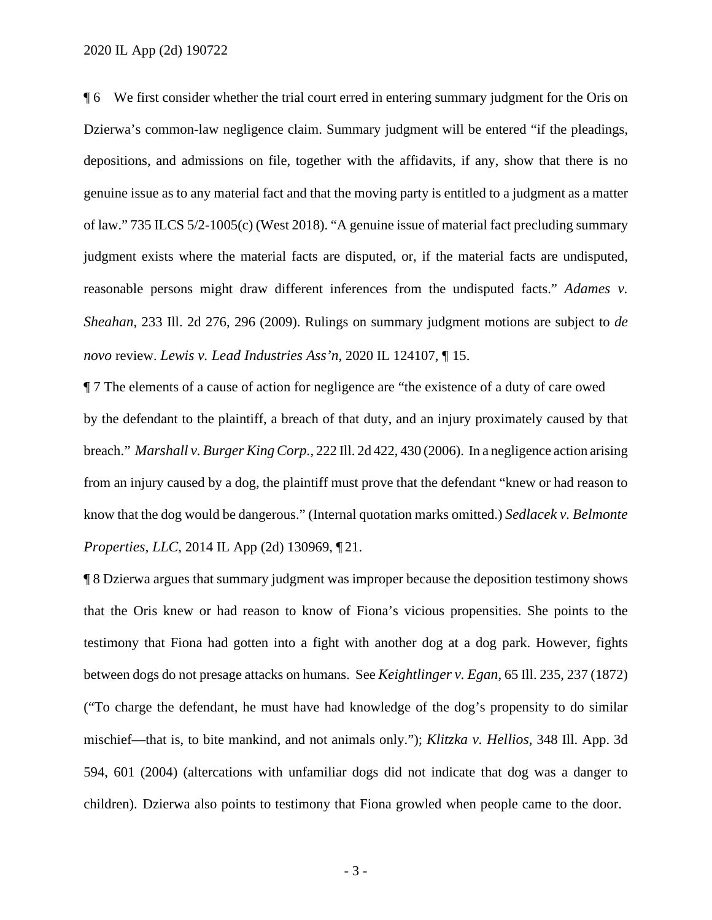2020 IL App (2d) 190722

 depositions, and admissions on file, together with the affidavits, if any, show that there is no genuine issue as to any material fact and that the moving party is entitled to a judgment as a matter judgment exists where the material facts are disputed, or, if the material facts are undisputed, *novo* review. *Lewis v. Lead Industries Ass'n*, 2020 IL 124107, ¶ 15. ¶ 6 We first consider whether the trial court erred in entering summary judgment for the Oris on Dzierwa's common-law negligence claim. Summary judgment will be entered "if the pleadings, of law." 735 ILCS 5/2-1005(c) (West 2018). "A genuine issue of material fact precluding summary reasonable persons might draw different inferences from the undisputed facts." *Adames v. Sheahan*, 233 Ill. 2d 276, 296 (2009). Rulings on summary judgment motions are subject to *de* 

 breach." *Marshall v. Burger King Corp.*, 222 Ill. 2d 422, 430 (2006). In a negligence action arising from an injury caused by a dog, the plaintiff must prove that the defendant "knew or had reason to know that the dog would be dangerous." (Internal quotation marks omitted.) *Sedlacek v. Belmonte Properties, LLC*, 2014 IL App (2d) 130969, ¶ 21. ¶ 7 The elements of a cause of action for negligence are "the existence of a duty of care owed by the defendant to the plaintiff, a breach of that duty, and an injury proximately caused by that

 between dogs do not presage attacks on humans. See *Keightlinger v. Egan*, 65 Ill. 235, 237 (1872) children). Dzierwa also points to testimony that Fiona growled when people came to the door. ¶ 8 Dzierwa argues that summary judgment was improper because the deposition testimony shows that the Oris knew or had reason to know of Fiona's vicious propensities. She points to the testimony that Fiona had gotten into a fight with another dog at a dog park. However, fights ("To charge the defendant, he must have had knowledge of the dog's propensity to do similar mischief—that is, to bite mankind, and not animals only."); *Klitzka v. Hellios*, 348 Ill. App. 3d 594, 601 (2004) (altercations with unfamiliar dogs did not indicate that dog was a danger to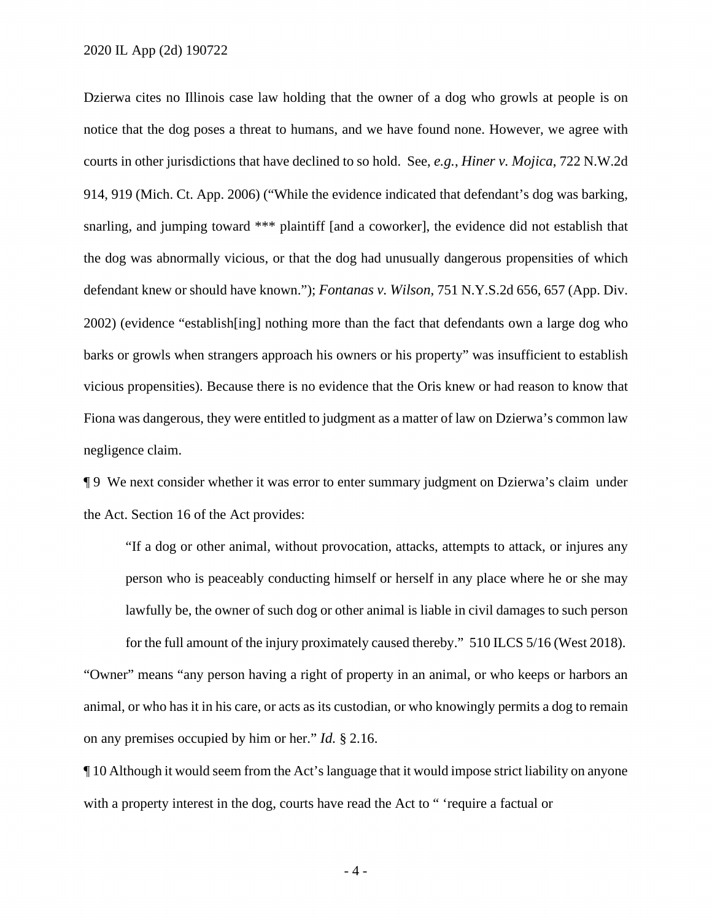courts in other jurisdictions that have declined to so hold. See, *e.g.*, *Hiner v. Mojica*, 722 N.W.2d 914, 919 (Mich. Ct. App. 2006) ("While the evidence indicated that defendant's dog was barking, defendant knew or should have known."); *Fontanas v. Wilson*, 751 [N.Y.S.2d](https://N.Y.S.2d) 656, 657 (App. Div. Fiona was dangerous, they were entitled to judgment as a matter of law on Dzierwa's common law negligence claim. Dzierwa cites no Illinois case law holding that the owner of a dog who growls at people is on notice that the dog poses a threat to humans, and we have found none. However, we agree with snarling, and jumping toward \*\*\* plaintiff [and a coworker], the evidence did not establish that the dog was abnormally vicious, or that the dog had unusually dangerous propensities of which 2002) (evidence "establish[ing] nothing more than the fact that defendants own a large dog who barks or growls when strangers approach his owners or his property" was insufficient to establish vicious propensities). Because there is no evidence that the Oris knew or had reason to know that

 ¶ 9 We next consider whether it was error to enter summary judgment on Dzierwa's claim under the Act. Section 16 of the Act provides:

 lawfully be, the owner of such dog or other animal is liable in civil damages to such person for the full amount of the injury proximately caused thereby." 510 ILCS 5/16 (West 2018). "If a dog or other animal, without provocation, attacks, attempts to attack, or injures any person who is peaceably conducting himself or herself in any place where he or she may "Owner" means "any person having a right of property in an animal, or who keeps or harbors an

 animal, or who has it in his care, or acts as its custodian, or who knowingly permits a dog to remain on any premises occupied by him or her." *Id.* § 2.16.

 with a property interest in the dog, courts have read the Act to " 'require a factual or ¶ 10 Although it would seem from the Act's language that it would impose strict liability on anyone

- 4 -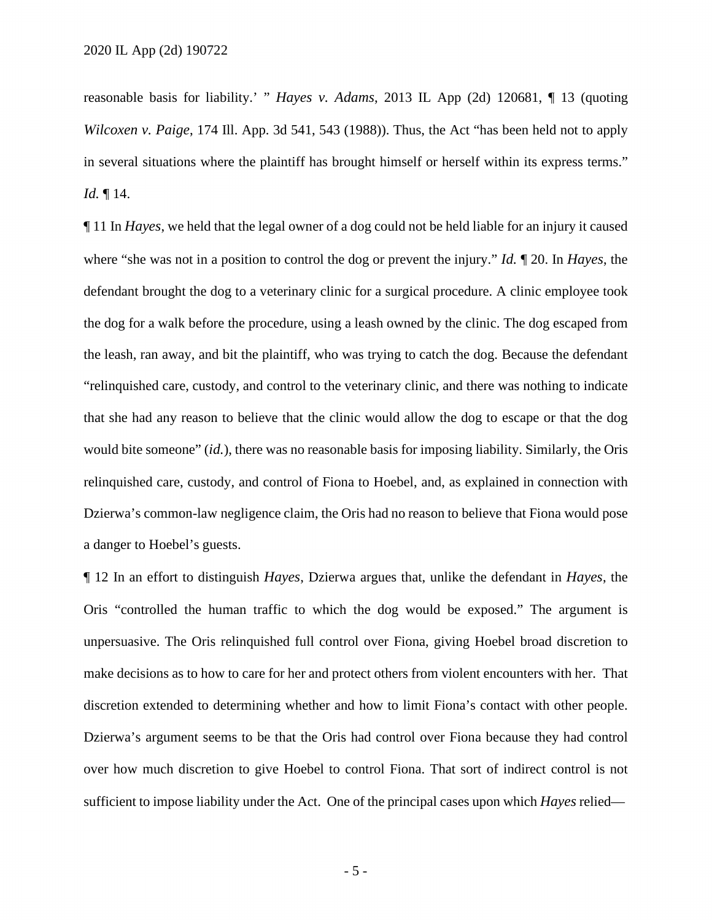reasonable basis for liability.' " *Hayes v. Adams*, 2013 IL App (2d) 120681, ¶ 13 (quoting *Wilcoxen v. Paige*, 174 Ill. App. 3d 541, 543 (1988)). Thus, the Act "has been held not to apply in several situations where the plaintiff has brought himself or herself within its express terms." *Id.* ¶ 14.

 ¶ 11 In *Hayes*, we held that the legal owner of a dog could not be held liable for an injury it caused relinquished care, custody, and control of Fiona to Hoebel, and, as explained in connection with Dzierwa's common-law negligence claim, the Oris had no reason to believe that Fiona would pose where "she was not in a position to control the dog or prevent the injury." *Id.* ¶ 20. In *Hayes*, the defendant brought the dog to a veterinary clinic for a surgical procedure. A clinic employee took the dog for a walk before the procedure, using a leash owned by the clinic. The dog escaped from the leash, ran away, and bit the plaintiff, who was trying to catch the dog. Because the defendant "relinquished care, custody, and control to the veterinary clinic, and there was nothing to indicate that she had any reason to believe that the clinic would allow the dog to escape or that the dog would bite someone" (*id.*), there was no reasonable basis for imposing liability. Similarly, the Oris a danger to Hoebel's guests.

 unpersuasive. The Oris relinquished full control over Fiona, giving Hoebel broad discretion to make decisions as to how to care for her and protect others from violent encounters with her. That sufficient to impose liability under the Act. One of the principal cases upon which *Hayes* relied— ¶ 12 In an effort to distinguish *Hayes*, Dzierwa argues that, unlike the defendant in *Hayes*, the Oris "controlled the human traffic to which the dog would be exposed." The argument is discretion extended to determining whether and how to limit Fiona's contact with other people. Dzierwa's argument seems to be that the Oris had control over Fiona because they had control over how much discretion to give Hoebel to control Fiona. That sort of indirect control is not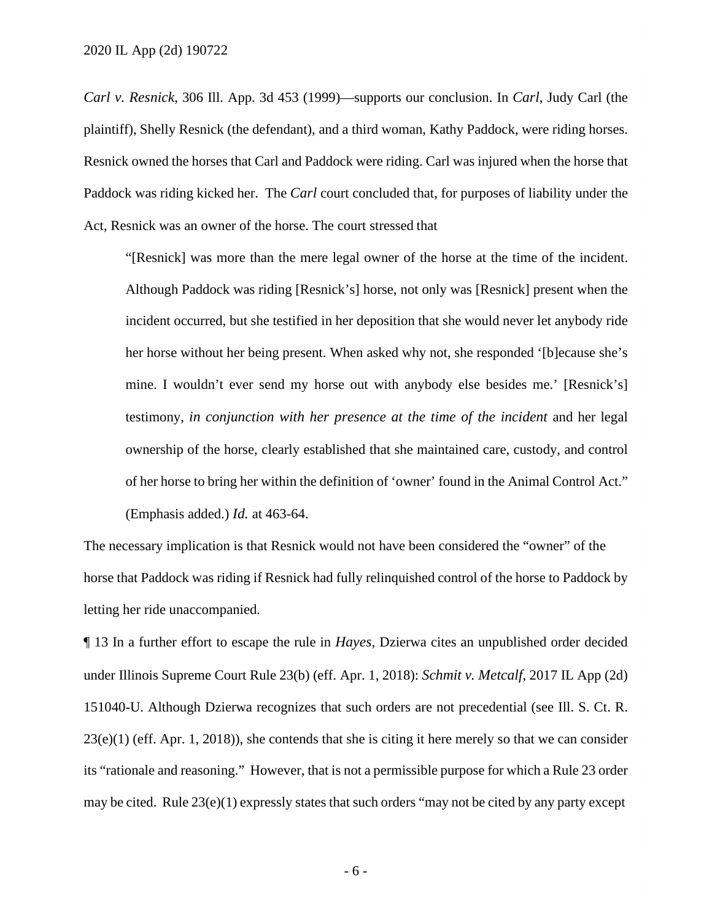plaintiff), Shelly Resnick (the defendant), and a third woman, Kathy Paddock, were riding horses. Paddock was riding kicked her. The *Carl* court concluded that, for purposes of liability under the *Carl v. Resnick*, 306 Ill. App. 3d 453 (1999)—supports our conclusion. In *Carl*, Judy Carl (the Resnick owned the horses that Carl and Paddock were riding. Carl was injured when the horse that Act, Resnick was an owner of the horse. The court stressed that

 incident occurred, but she testified in her deposition that she would never let anybody ride of her horse to bring her within the definition of 'owner' found in the Animal Control Act." (Emphasis added.) *Id.* at 463-64. "[Resnick] was more than the mere legal owner of the horse at the time of the incident. Although Paddock was riding [Resnick's] horse, not only was [Resnick] present when the her horse without her being present. When asked why not, she responded '[b]ecause she's mine. I wouldn't ever send my horse out with anybody else besides me.' [Resnick's] testimony, *in conjunction with her presence at the time of the incident* and her legal ownership of the horse, clearly established that she maintained care, custody, and control

The necessary implication is that Resnick would not have been considered the "owner" of the horse that Paddock was riding if Resnick had fully relinquished control of the horse to Paddock by letting her ride unaccompanied.

 under Illinois Supreme Court Rule 23(b) (eff. Apr. 1, 2018): *Schmit v. Metcalf*, 2017 IL App (2d) its "rationale and reasoning." However, that is not a permissible purpose for which a Rule 23 order may be cited. Rule 23(e)(1) expressly states that such orders "may not be cited by any party except ¶ 13 In a further effort to escape the rule in *Hayes*, Dzierwa cites an unpublished order decided 151040-U. Although Dzierwa recognizes that such orders are not precedential (see Ill. S. Ct. R.  $23(e)(1)$  (eff. Apr. 1, 2018)), she contends that she is citing it here merely so that we can consider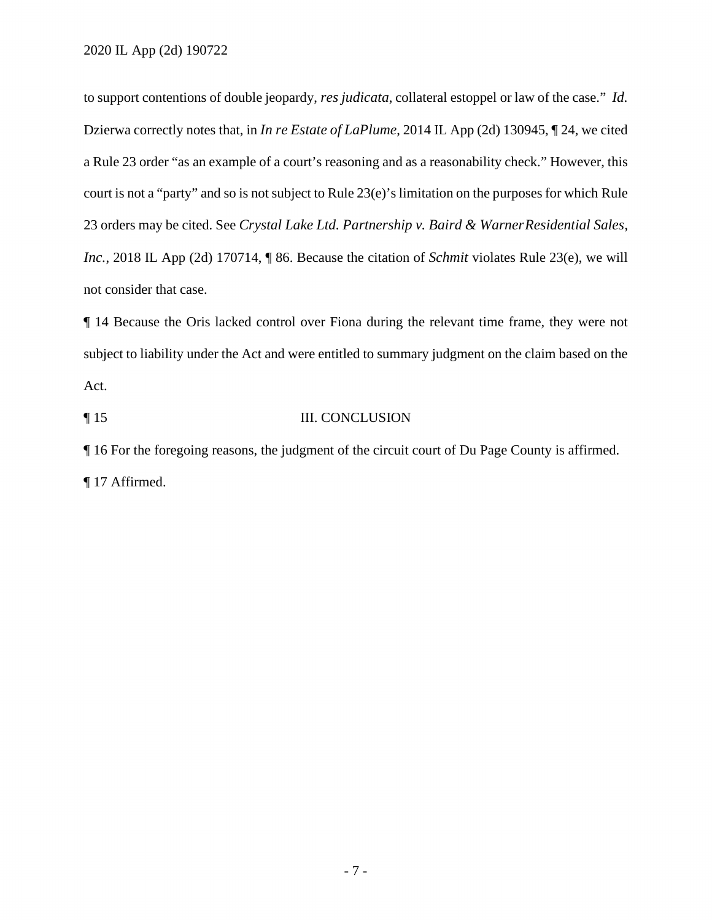to support contentions of double jeopardy, *res judicata*, collateral estoppel or law of the case." *Id.*  Dzierwa correctly notes that, in *In re Estate of LaPlume*, 2014 IL App (2d) 130945, ¶ 24, we cited court is not a "party" and so is not subject to Rule 23(e)'s limitation on the purposes for which Rule not consider that case. a Rule 23 order "as an example of a court's reasoning and as a reasonability check." However, this 23 orders may be cited. See *Crystal Lake Ltd. Partnership v. Baird & WarnerResidential Sales, Inc.*, 2018 IL App (2d) 170714, ¶ 86. Because the citation of *Schmit* violates Rule 23(e), we will

¶ 14 Because the Oris lacked control over Fiona during the relevant time frame, they were not subject to liability under the Act and were entitled to summary judgment on the claim based on the Act.

¶ 15 III. CONCLUSION

¶ 16 For the foregoing reasons, the judgment of the circuit court of Du Page County is affirmed. ¶ 17 Affirmed.